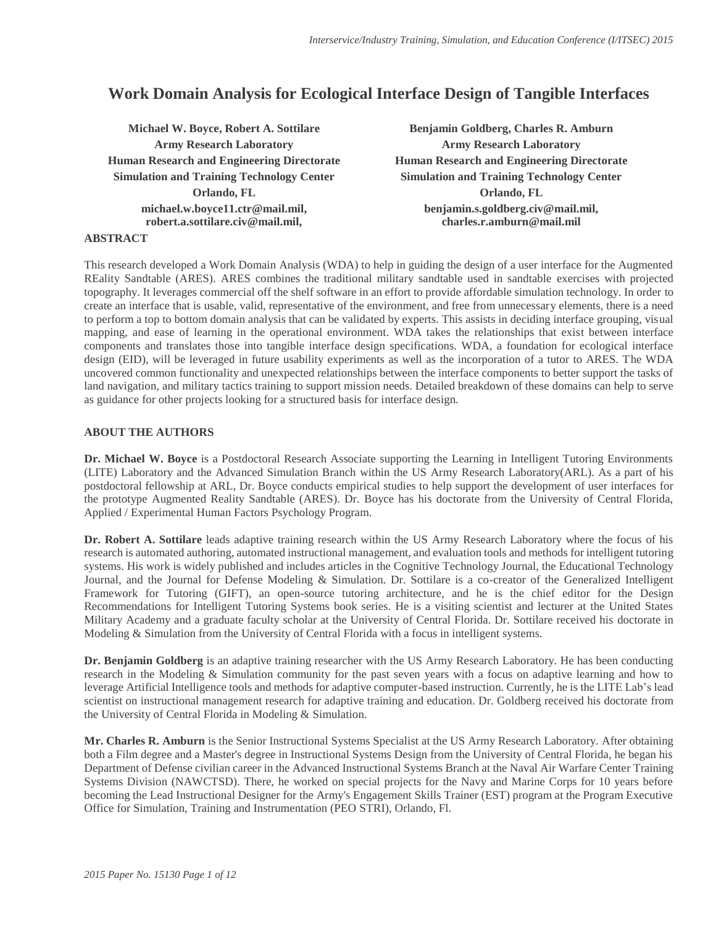## **Work Domain Analysis for Ecological Interface Design of Tangible Interfaces**

**Michael W. Boyce, Robert A. Sottilare Benjamin Goldberg, Charles R. Amburn Army Research Laboratory Army Research Laboratory Human Research and Engineering Directorate Human Research and Engineering Directorate Simulation and Training Technology Center Simulation and Training Technology Center Orlando, FL Orlando, FL michael.w.boyce11.ctr@mail.mil, robert.a.sottilare.civ@mail.mil,**

**benjamin.s.goldberg.civ@mail.mil, charles.r.amburn@mail.mil**

## **ABSTRACT**

This research developed a Work Domain Analysis (WDA) to help in guiding the design of a user interface for the Augmented REality Sandtable (ARES). ARES combines the traditional military sandtable used in sandtable exercises with projected topography. It leverages commercial off the shelf software in an effort to provide affordable simulation technology. In order to create an interface that is usable, valid, representative of the environment, and free from unnecessary elements, there is a need to perform a top to bottom domain analysis that can be validated by experts. This assists in deciding interface grouping, visual mapping, and ease of learning in the operational environment. WDA takes the relationships that exist between interface components and translates those into tangible interface design specifications. WDA, a foundation for ecological interface design (EID), will be leveraged in future usability experiments as well as the incorporation of a tutor to ARES. The WDA uncovered common functionality and unexpected relationships between the interface components to better support the tasks of land navigation, and military tactics training to support mission needs. Detailed breakdown of these domains can help to serve as guidance for other projects looking for a structured basis for interface design.

## **ABOUT THE AUTHORS**

**Dr. Michael W. Boyce** is a Postdoctoral Research Associate supporting the Learning in Intelligent Tutoring Environments (LITE) Laboratory and the Advanced Simulation Branch within the US Army Research Laboratory(ARL). As a part of his postdoctoral fellowship at ARL, Dr. Boyce conducts empirical studies to help support the development of user interfaces for the prototype Augmented Reality Sandtable (ARES). Dr. Boyce has his doctorate from the University of Central Florida, Applied / Experimental Human Factors Psychology Program.

**Dr. Robert A. Sottilare** leads adaptive training research within the US Army Research Laboratory where the focus of his research is automated authoring, automated instructional management, and evaluation tools and methods for intelligent tutoring systems. His work is widely published and includes articles in the Cognitive Technology Journal, the Educational Technology Journal, and the Journal for Defense Modeling & Simulation. Dr. Sottilare is a co-creator of the Generalized Intelligent Framework for Tutoring (GIFT), an open-source tutoring architecture, and he is the chief editor for the Design Recommendations for Intelligent Tutoring Systems book series. He is a visiting scientist and lecturer at the United States Military Academy and a graduate faculty scholar at the University of Central Florida. Dr. Sottilare received his doctorate in Modeling & Simulation from the University of Central Florida with a focus in intelligent systems.

**Dr. Benjamin Goldberg** is an adaptive training researcher with the US Army Research Laboratory. He has been conducting research in the Modeling & Simulation community for the past seven years with a focus on adaptive learning and how to leverage Artificial Intelligence tools and methods for adaptive computer-based instruction. Currently, he is the LITE Lab's lead scientist on instructional management research for adaptive training and education. Dr. Goldberg received his doctorate from the University of Central Florida in Modeling & Simulation.

**Mr. Charles R. Amburn** is the Senior Instructional Systems Specialist at the US Army Research Laboratory. After obtaining both a Film degree and a Master's degree in Instructional Systems Design from the University of Central Florida, he began his Department of Defense civilian career in the Advanced Instructional Systems Branch at the Naval Air Warfare Center Training Systems Division (NAWCTSD). There, he worked on special projects for the Navy and Marine Corps for 10 years before becoming the Lead Instructional Designer for the Army's Engagement Skills Trainer (EST) program at the Program Executive Office for Simulation, Training and Instrumentation (PEO STRI), Orlando, Fl.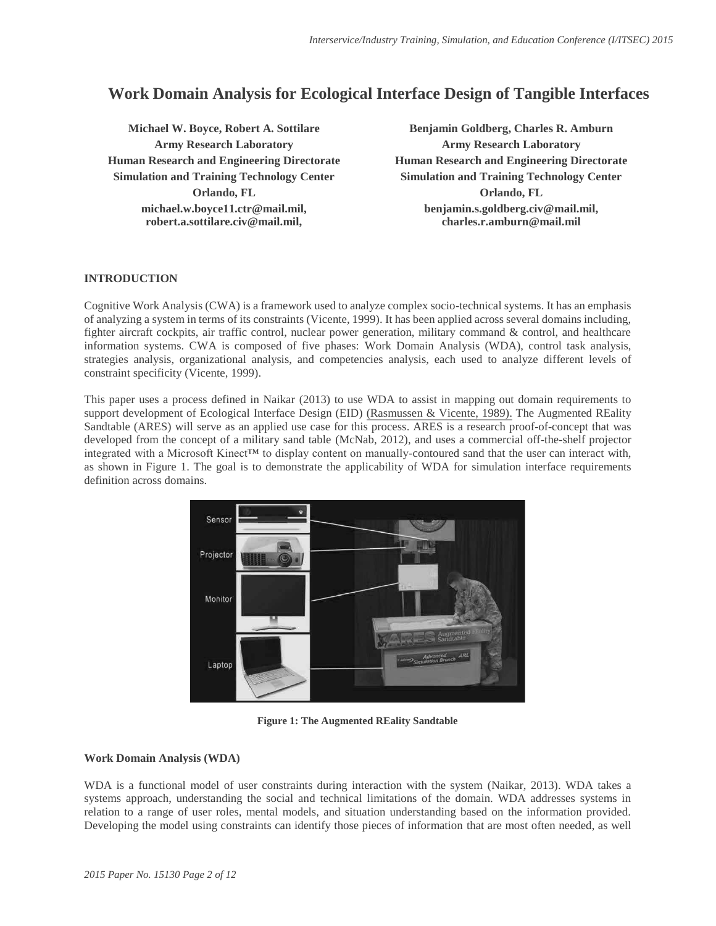# **Work Domain Analysis for Ecological Interface Design of Tangible Interfaces**

**Orlando, FL Orlando, FL michael.w.boyce11.ctr@mail.mil, robert.a.sottilare.civ@mail.mil,**

**Michael W. Boyce, Robert A. Sottilare Benjamin Goldberg, Charles R. Amburn Army Research Laboratory Army Research Laboratory Human Research and Engineering Directorate Human Research and Engineering Directorate Simulation and Training Technology Center Simulation and Training Technology Center benjamin.s.goldberg.civ@mail.mil, charles.r.amburn@mail.mil**

## **INTRODUCTION**

Cognitive Work Analysis (CWA) is a framework used to analyze complex socio-technical systems. It has an emphasis of analyzing a system in terms of its constraints (Vicente, 1999). It has been applied across several domains including, fighter aircraft cockpits, air traffic control, nuclear power generation, military command & control, and healthcare information systems. CWA is composed of five phases: Work Domain Analysis (WDA), control task analysis, strategies analysis, organizational analysis, and competencies analysis, each used to analyze different levels of constraint specificity (Vicente, 1999).

This paper uses a process defined in Naikar (2013) to use WDA to assist in mapping out domain requirements to support development of Ecological Interface Design (EID) (Rasmussen & Vicente, 1989). The Augmented REality Sandtable (ARES) will serve as an applied use case for this process. ARES is a research proof-of-concept that was developed from the concept of a military sand table (McNab, 2012), and uses a commercial off-the-shelf projector integrated with a Microsoft Kinect™ to display content on manually-contoured sand that the user can interact with, as shown in Figure 1. The goal is to demonstrate the applicability of WDA for simulation interface requirements definition across domains.



**Figure 1: The Augmented REality Sandtable** 

## **Work Domain Analysis (WDA)**

WDA is a functional model of user constraints during interaction with the system (Naikar, 2013). WDA takes a systems approach, understanding the social and technical limitations of the domain. WDA addresses systems in relation to a range of user roles, mental models, and situation understanding based on the information provided. Developing the model using constraints can identify those pieces of information that are most often needed, as well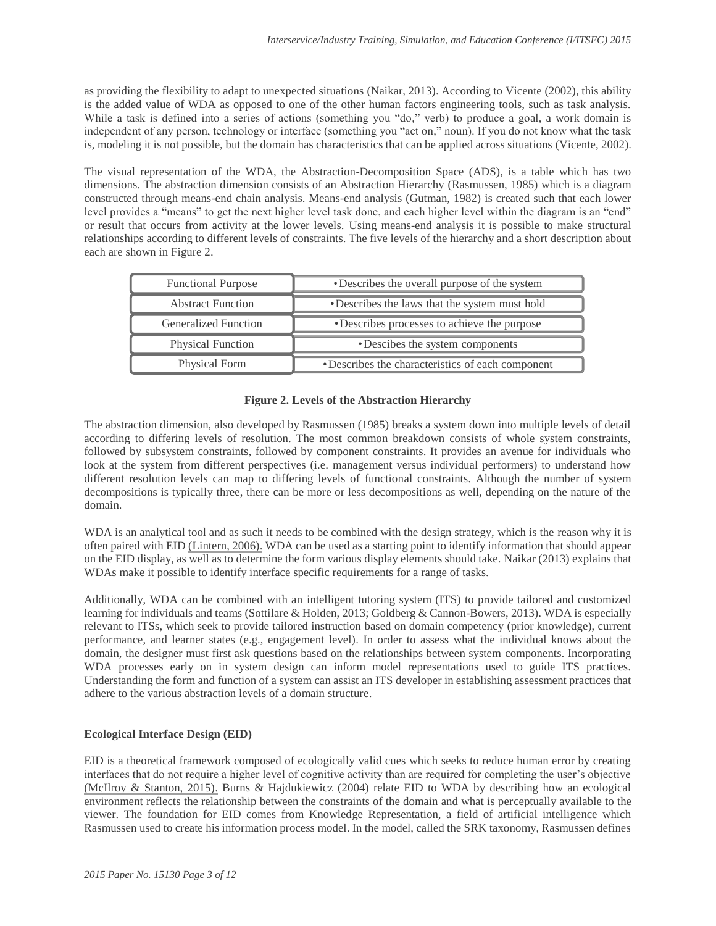as providing the flexibility to adapt to unexpected situations (Naikar, 2013). According to Vicente (2002), this ability is the added value of WDA as opposed to one of the other human factors engineering tools, such as task analysis. While a task is defined into a series of actions (something you "do," verb) to produce a goal, a work domain is independent of any person, technology or interface (something you "act on," noun). If you do not know what the task is, modeling it is not possible, but the domain has characteristics that can be applied across situations (Vicente, 2002).

The visual representation of the WDA, the Abstraction-Decomposition Space (ADS), is a table which has two dimensions. The abstraction dimension consists of an Abstraction Hierarchy (Rasmussen, 1985) which is a diagram constructed through means-end chain analysis. Means-end analysis (Gutman, 1982) is created such that each lower level provides a "means" to get the next higher level task done, and each higher level within the diagram is an "end" or result that occurs from activity at the lower levels. Using means-end analysis it is possible to make structural relationships according to different levels of constraints. The five levels of the hierarchy and a short description about each are shown in Figure 2.

| <b>Functional Purpose</b>   | • Describes the overall purpose of the system     |  |
|-----------------------------|---------------------------------------------------|--|
| <b>Abstract Function</b>    | • Describes the laws that the system must hold    |  |
| <b>Generalized Function</b> | • Describes processes to achieve the purpose      |  |
| <b>Physical Function</b>    | • Descibes the system components                  |  |
| Physical Form               | • Describes the characteristics of each component |  |

#### **Figure 2. Levels of the Abstraction Hierarchy**

The abstraction dimension, also developed by Rasmussen (1985) breaks a system down into multiple levels of detail according to differing levels of resolution. The most common breakdown consists of whole system constraints, followed by subsystem constraints, followed by component constraints. It provides an avenue for individuals who look at the system from different perspectives (i.e. management versus individual performers) to understand how different resolution levels can map to differing levels of functional constraints. Although the number of system decompositions is typically three, there can be more or less decompositions as well, depending on the nature of the domain.

WDA is an analytical tool and as such it needs to be combined with the design strategy, which is the reason why it is often paired with EID (Lintern, 2006). WDA can be used as a starting point to identify information that should appear on the EID display, as well as to determine the form various display elements should take. Naikar (2013) explains that WDAs make it possible to identify interface specific requirements for a range of tasks.

Additionally, WDA can be combined with an intelligent tutoring system (ITS) to provide tailored and customized learning for individuals and teams (Sottilare & Holden, 2013; Goldberg & Cannon-Bowers, 2013). WDA is especially relevant to ITSs, which seek to provide tailored instruction based on domain competency (prior knowledge), current performance, and learner states (e.g., engagement level). In order to assess what the individual knows about the domain, the designer must first ask questions based on the relationships between system components. Incorporating WDA processes early on in system design can inform model representations used to guide ITS practices. Understanding the form and function of a system can assist an ITS developer in establishing assessment practices that adhere to the various abstraction levels of a domain structure.

#### **Ecological Interface Design (EID)**

EID is a theoretical framework composed of ecologically valid cues which seeks to reduce human error by creating interfaces that do not require a higher level of cognitive activity than are required for completing the user's objective (McIlroy & Stanton, 2015). Burns & Hajdukiewicz (2004) relate EID to WDA by describing how an ecological environment reflects the relationship between the constraints of the domain and what is perceptually available to the viewer. The foundation for EID comes from Knowledge Representation, a field of artificial intelligence which Rasmussen used to create his information process model. In the model, called the SRK taxonomy, Rasmussen defines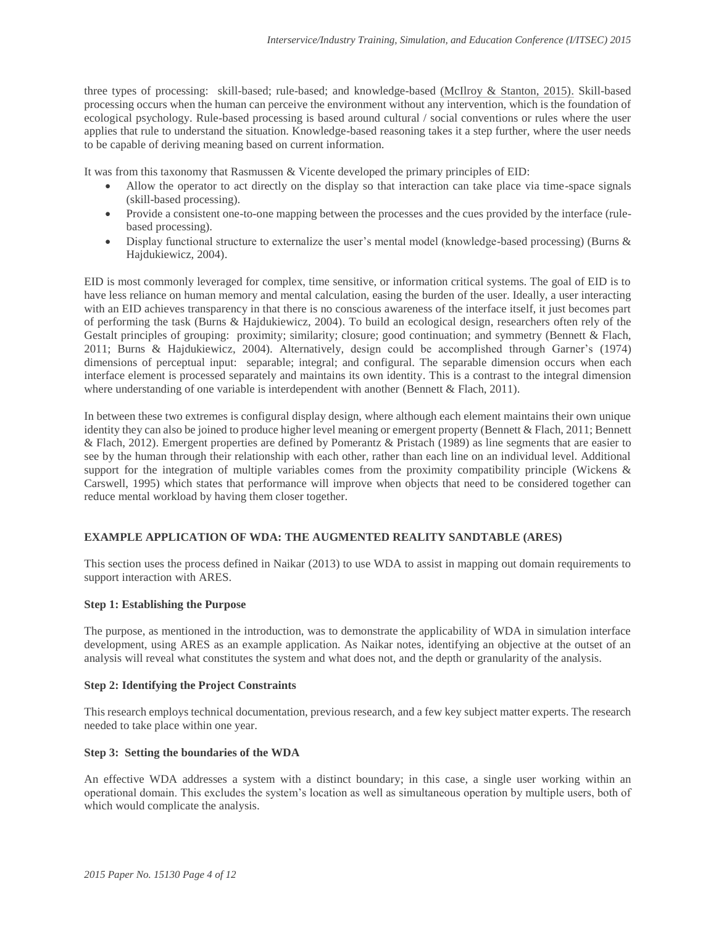three types of processing: skill-based; rule-based; and knowledge-based (McIlroy & Stanton, 2015). Skill-based processing occurs when the human can perceive the environment without any intervention, which is the foundation of ecological psychology. Rule-based processing is based around cultural / social conventions or rules where the user applies that rule to understand the situation. Knowledge-based reasoning takes it a step further, where the user needs to be capable of deriving meaning based on current information.

It was from this taxonomy that Rasmussen & Vicente developed the primary principles of EID:

- x Allow the operator to act directly on the display so that interaction can take place via time-space signals (skill-based processing).
- Provide a consistent one-to-one mapping between the processes and the cues provided by the interface (rulebased processing).
- Display functional structure to externalize the user's mental model (knowledge-based processing) (Burns & Hajdukiewicz, 2004).

EID is most commonly leveraged for complex, time sensitive, or information critical systems. The goal of EID is to have less reliance on human memory and mental calculation, easing the burden of the user. Ideally, a user interacting with an EID achieves transparency in that there is no conscious awareness of the interface itself, it just becomes part of performing the task (Burns & Hajdukiewicz, 2004). To build an ecological design, researchers often rely of the Gestalt principles of grouping: proximity; similarity; closure; good continuation; and symmetry (Bennett & Flach, 2011; Burns & Hajdukiewicz, 2004). Alternatively, design could be accomplished through Garner's (1974) dimensions of perceptual input: separable; integral; and configural. The separable dimension occurs when each interface element is processed separately and maintains its own identity. This is a contrast to the integral dimension where understanding of one variable is interdependent with another (Bennett & Flach, 2011).

In between these two extremes is configural display design, where although each element maintains their own unique identity they can also be joined to produce higher level meaning or emergent property (Bennett & Flach, 2011; Bennett & Flach, 2012). Emergent properties are defined by Pomerantz & Pristach (1989) as line segments that are easier to see by the human through their relationship with each other, rather than each line on an individual level. Additional support for the integration of multiple variables comes from the proximity compatibility principle (Wickens & Carswell, 1995) which states that performance will improve when objects that need to be considered together can reduce mental workload by having them closer together.

## **EXAMPLE APPLICATION OF WDA: THE AUGMENTED REALITY SANDTABLE (ARES)**

This section uses the process defined in Naikar (2013) to use WDA to assist in mapping out domain requirements to support interaction with ARES.

## **Step 1: Establishing the Purpose**

The purpose, as mentioned in the introduction, was to demonstrate the applicability of WDA in simulation interface development, using ARES as an example application. As Naikar notes, identifying an objective at the outset of an analysis will reveal what constitutes the system and what does not, and the depth or granularity of the analysis.

## **Step 2: Identifying the Project Constraints**

This research employs technical documentation, previous research, and a few key subject matter experts. The research needed to take place within one year.

#### **Step 3: Setting the boundaries of the WDA**

An effective WDA addresses a system with a distinct boundary; in this case, a single user working within an operational domain. This excludes the system's location as well as simultaneous operation by multiple users, both of which would complicate the analysis.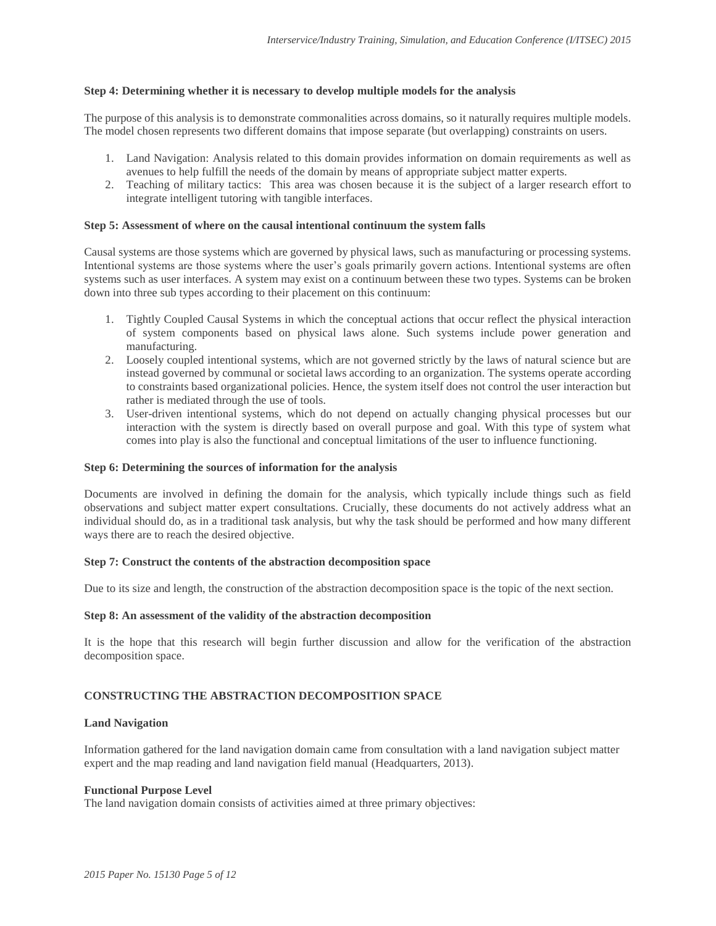## **Step 4: Determining whether it is necessary to develop multiple models for the analysis**

The purpose of this analysis is to demonstrate commonalities across domains, so it naturally requires multiple models. The model chosen represents two different domains that impose separate (but overlapping) constraints on users.

- 1. Land Navigation: Analysis related to this domain provides information on domain requirements as well as avenues to help fulfill the needs of the domain by means of appropriate subject matter experts.
- 2. Teaching of military tactics: This area was chosen because it is the subject of a larger research effort to integrate intelligent tutoring with tangible interfaces.

#### **Step 5: Assessment of where on the causal intentional continuum the system falls**

Causal systems are those systems which are governed by physical laws, such as manufacturing or processing systems. Intentional systems are those systems where the user's goals primarily govern actions. Intentional systems are often systems such as user interfaces. A system may exist on a continuum between these two types. Systems can be broken down into three sub types according to their placement on this continuum:

- 1. Tightly Coupled Causal Systems in which the conceptual actions that occur reflect the physical interaction of system components based on physical laws alone. Such systems include power generation and manufacturing.
- 2. Loosely coupled intentional systems, which are not governed strictly by the laws of natural science but are instead governed by communal or societal laws according to an organization. The systems operate according to constraints based organizational policies. Hence, the system itself does not control the user interaction but rather is mediated through the use of tools.
- 3. User-driven intentional systems, which do not depend on actually changing physical processes but our interaction with the system is directly based on overall purpose and goal. With this type of system what comes into play is also the functional and conceptual limitations of the user to influence functioning.

## **Step 6: Determining the sources of information for the analysis**

Documents are involved in defining the domain for the analysis, which typically include things such as field observations and subject matter expert consultations. Crucially, these documents do not actively address what an individual should do, as in a traditional task analysis, but why the task should be performed and how many different ways there are to reach the desired objective.

#### **Step 7: Construct the contents of the abstraction decomposition space**

Due to its size and length, the construction of the abstraction decomposition space is the topic of the next section.

#### **Step 8: An assessment of the validity of the abstraction decomposition**

It is the hope that this research will begin further discussion and allow for the verification of the abstraction decomposition space.

### **CONSTRUCTING THE ABSTRACTION DECOMPOSITION SPACE**

#### **Land Navigation**

Information gathered for the land navigation domain came from consultation with a land navigation subject matter expert and the map reading and land navigation field manual (Headquarters, 2013).

#### **Functional Purpose Level**

The land navigation domain consists of activities aimed at three primary objectives: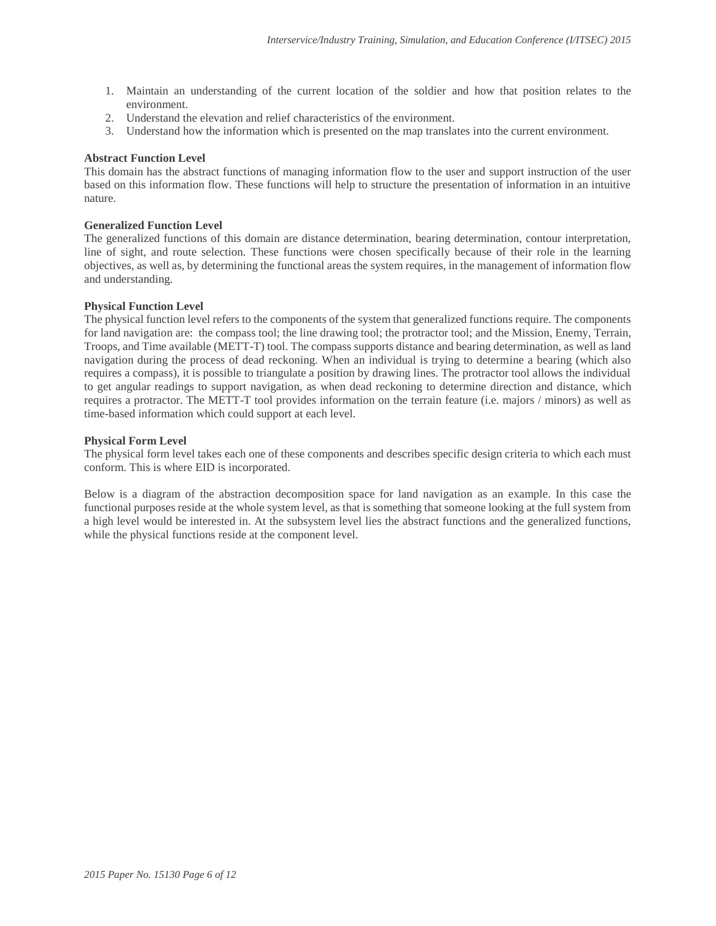- 1. Maintain an understanding of the current location of the soldier and how that position relates to the environment.
- 2. Understand the elevation and relief characteristics of the environment.
- 3. Understand how the information which is presented on the map translates into the current environment.

#### **Abstract Function Level**

This domain has the abstract functions of managing information flow to the user and support instruction of the user based on this information flow. These functions will help to structure the presentation of information in an intuitive nature.

### **Generalized Function Level**

The generalized functions of this domain are distance determination, bearing determination, contour interpretation, line of sight, and route selection. These functions were chosen specifically because of their role in the learning objectives, as well as, by determining the functional areas the system requires, in the management of information flow and understanding.

#### **Physical Function Level**

The physical function level refers to the components of the system that generalized functions require. The components for land navigation are: the compass tool; the line drawing tool; the protractor tool; and the Mission, Enemy, Terrain, Troops, and Time available (METT-T) tool. The compass supports distance and bearing determination, as well as land navigation during the process of dead reckoning. When an individual is trying to determine a bearing (which also requires a compass), it is possible to triangulate a position by drawing lines. The protractor tool allows the individual to get angular readings to support navigation, as when dead reckoning to determine direction and distance, which requires a protractor. The METT-T tool provides information on the terrain feature (i.e. majors / minors) as well as time-based information which could support at each level.

## **Physical Form Level**

The physical form level takes each one of these components and describes specific design criteria to which each must conform. This is where EID is incorporated.

Below is a diagram of the abstraction decomposition space for land navigation as an example. In this case the functional purposes reside at the whole system level, as that is something that someone looking at the full system from a high level would be interested in. At the subsystem level lies the abstract functions and the generalized functions, while the physical functions reside at the component level.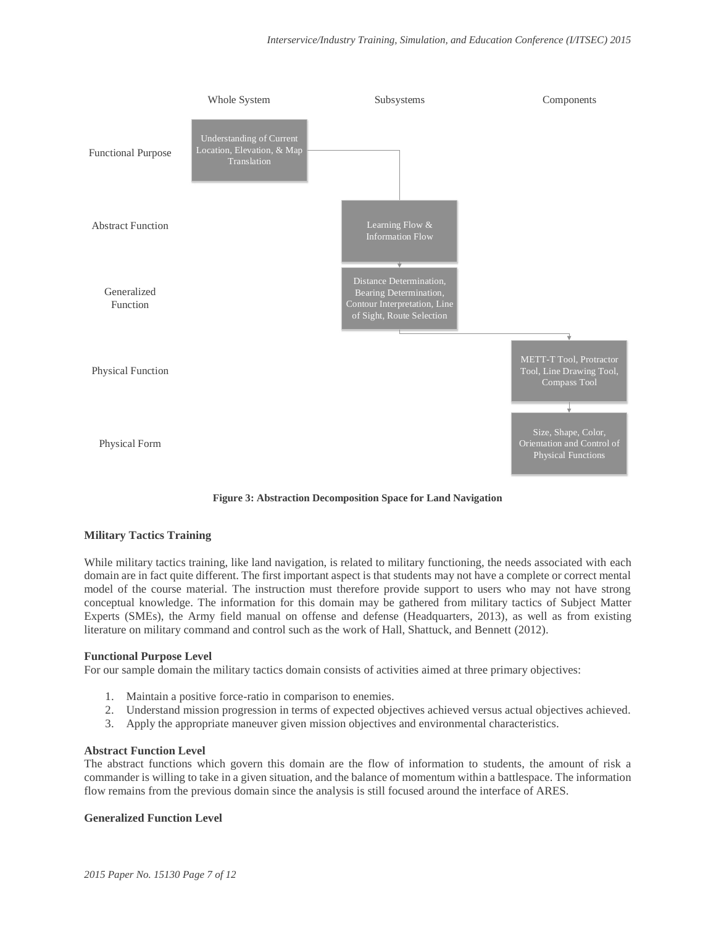

**Figure 3: Abstraction Decomposition Space for Land Navigation** 

#### **Military Tactics Training**

While military tactics training, like land navigation, is related to military functioning, the needs associated with each domain are in fact quite different. The first important aspect is that students may not have a complete or correct mental model of the course material. The instruction must therefore provide support to users who may not have strong conceptual knowledge. The information for this domain may be gathered from military tactics of Subject Matter Experts (SMEs), the Army field manual on offense and defense (Headquarters, 2013), as well as from existing literature on military command and control such as the work of Hall, Shattuck, and Bennett (2012).

#### **Functional Purpose Level**

For our sample domain the military tactics domain consists of activities aimed at three primary objectives:

- 1. Maintain a positive force-ratio in comparison to enemies.
- 2. Understand mission progression in terms of expected objectives achieved versus actual objectives achieved.
- 3. Apply the appropriate maneuver given mission objectives and environmental characteristics.

#### **Abstract Function Level**

The abstract functions which govern this domain are the flow of information to students, the amount of risk a commander is willing to take in a given situation, and the balance of momentum within a battlespace. The information flow remains from the previous domain since the analysis is still focused around the interface of ARES.

#### **Generalized Function Level**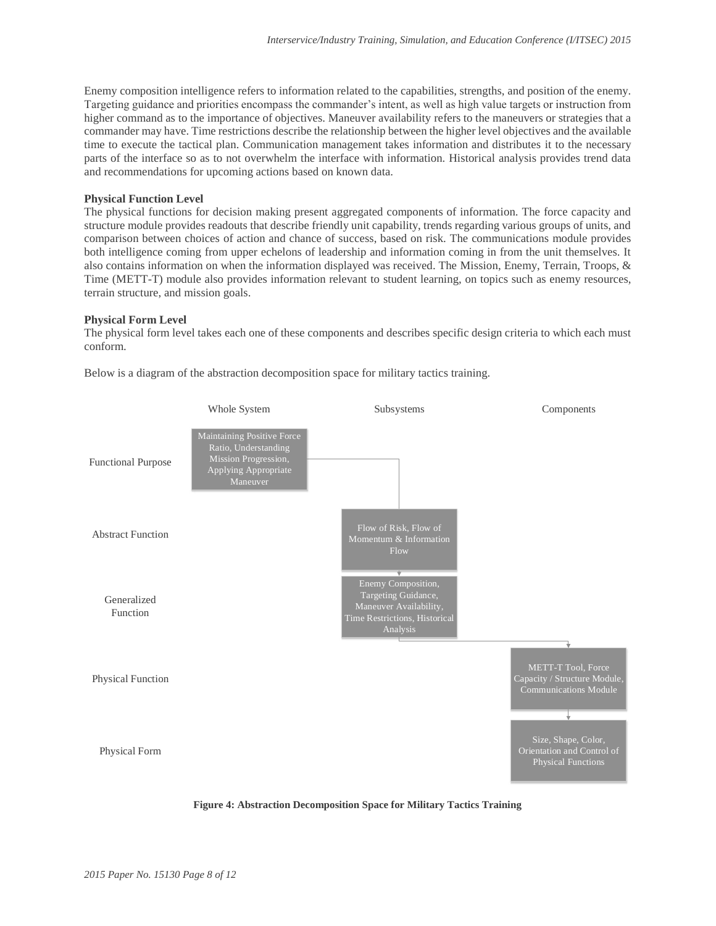Enemy composition intelligence refers to information related to the capabilities, strengths, and position of the enemy. Targeting guidance and priorities encompass the commander's intent, as well as high value targets or instruction from higher command as to the importance of objectives. Maneuver availability refers to the maneuvers or strategies that a commander may have. Time restrictions describe the relationship between the higher level objectives and the available time to execute the tactical plan. Communication management takes information and distributes it to the necessary parts of the interface so as to not overwhelm the interface with information. Historical analysis provides trend data and recommendations for upcoming actions based on known data.

#### **Physical Function Level**

The physical functions for decision making present aggregated components of information. The force capacity and structure module provides readouts that describe friendly unit capability, trends regarding various groups of units, and comparison between choices of action and chance of success, based on risk. The communications module provides both intelligence coming from upper echelons of leadership and information coming in from the unit themselves. It also contains information on when the information displayed was received. The Mission, Enemy, Terrain, Troops, & Time (METT-T) module also provides information relevant to student learning, on topics such as enemy resources, terrain structure, and mission goals.

#### **Physical Form Level**

The physical form level takes each one of these components and describes specific design criteria to which each must conform.



Below is a diagram of the abstraction decomposition space for military tactics training.

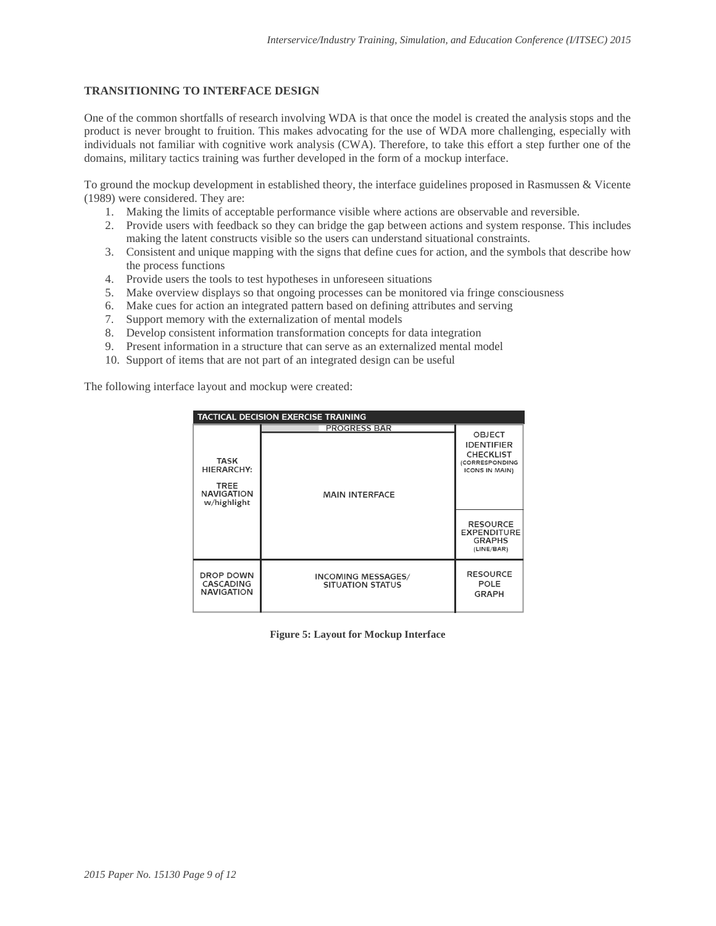## **TRANSITIONING TO INTERFACE DESIGN**

One of the common shortfalls of research involving WDA is that once the model is created the analysis stops and the product is never brought to fruition. This makes advocating for the use of WDA more challenging, especially with individuals not familiar with cognitive work analysis (CWA). Therefore, to take this effort a step further one of the domains, military tactics training was further developed in the form of a mockup interface.

To ground the mockup development in established theory, the interface guidelines proposed in Rasmussen & Vicente (1989) were considered. They are:

- 1. Making the limits of acceptable performance visible where actions are observable and reversible.
- 2. Provide users with feedback so they can bridge the gap between actions and system response. This includes making the latent constructs visible so the users can understand situational constraints.
- 3. Consistent and unique mapping with the signs that define cues for action, and the symbols that describe how the process functions
- 4. Provide users the tools to test hypotheses in unforeseen situations
- 5. Make overview displays so that ongoing processes can be monitored via fringe consciousness
- 6. Make cues for action an integrated pattern based on defining attributes and serving
- 7. Support memory with the externalization of mental models
- 8. Develop consistent information transformation concepts for data integration
- 9. Present information in a structure that can serve as an externalized mental model
- 10. Support of items that are not part of an integrated design can be useful

The following interface layout and mockup were created:

| <b>TACTICAL DECISION EXERCISE TRAINING</b>                            |                                                      |                                                                                            |  |
|-----------------------------------------------------------------------|------------------------------------------------------|--------------------------------------------------------------------------------------------|--|
| <b>TASK</b><br>HIERARCHY:<br>TREE<br><b>NAVIGATION</b><br>w/highlight | <b>PROGRESS BAR</b><br><b>MAIN INTERFACE</b>         | OBJECT<br><b>IDENTIFIER</b><br><b>CHECKLIST</b><br>(CORRESPONDING<br><b>ICONS IN MAIN)</b> |  |
|                                                                       |                                                      | <b>RESOURCE</b><br><b>EXPENDITURE</b><br><b>GRAPHS</b><br>(LINE/BAR)                       |  |
| <b>DROP DOWN</b><br>CASCADING<br><b>NAVIGATION</b>                    | <b>INCOMING MESSAGES/</b><br><b>SITUATION STATUS</b> | <b>RESOURCE</b><br>POLE<br><b>GRAPH</b>                                                    |  |

**Figure 5: Layout for Mockup Interface**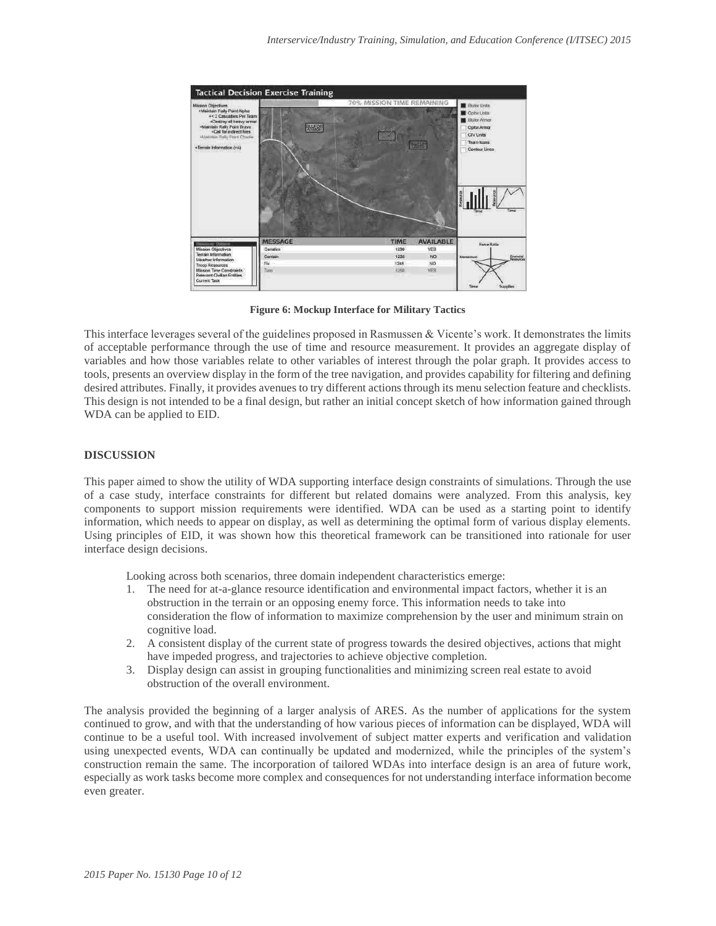

**Figure 6: Mockup Interface for Military Tactics** 

This interface leverages several of the guidelines proposed in Rasmussen & Vicente's work. It demonstrates the limits of acceptable performance through the use of time and resource measurement. It provides an aggregate display of variables and how those variables relate to other variables of interest through the polar graph. It provides access to tools, presents an overview display in the form of the tree navigation, and provides capability for filtering and defining desired attributes. Finally, it provides avenues to try different actions through its menu selection feature and checklists. This design is not intended to be a final design, but rather an initial concept sketch of how information gained through WDA can be applied to EID.

## **DISCUSSION**

This paper aimed to show the utility of WDA supporting interface design constraints of simulations. Through the use of a case study, interface constraints for different but related domains were analyzed. From this analysis, key components to support mission requirements were identified. WDA can be used as a starting point to identify information, which needs to appear on display, as well as determining the optimal form of various display elements. Using principles of EID, it was shown how this theoretical framework can be transitioned into rationale for user interface design decisions.

Looking across both scenarios, three domain independent characteristics emerge:

- 1. The need for at-a-glance resource identification and environmental impact factors, whether it is an obstruction in the terrain or an opposing enemy force. This information needs to take into consideration the flow of information to maximize comprehension by the user and minimum strain on cognitive load.
- 2. A consistent display of the current state of progress towards the desired objectives, actions that might have impeded progress, and trajectories to achieve objective completion.
- 3. Display design can assist in grouping functionalities and minimizing screen real estate to avoid obstruction of the overall environment.

The analysis provided the beginning of a larger analysis of ARES. As the number of applications for the system continued to grow, and with that the understanding of how various pieces of information can be displayed, WDA will continue to be a useful tool. With increased involvement of subject matter experts and verification and validation using unexpected events, WDA can continually be updated and modernized, while the principles of the system's construction remain the same. The incorporation of tailored WDAs into interface design is an area of future work, especially as work tasks become more complex and consequences for not understanding interface information become even greater.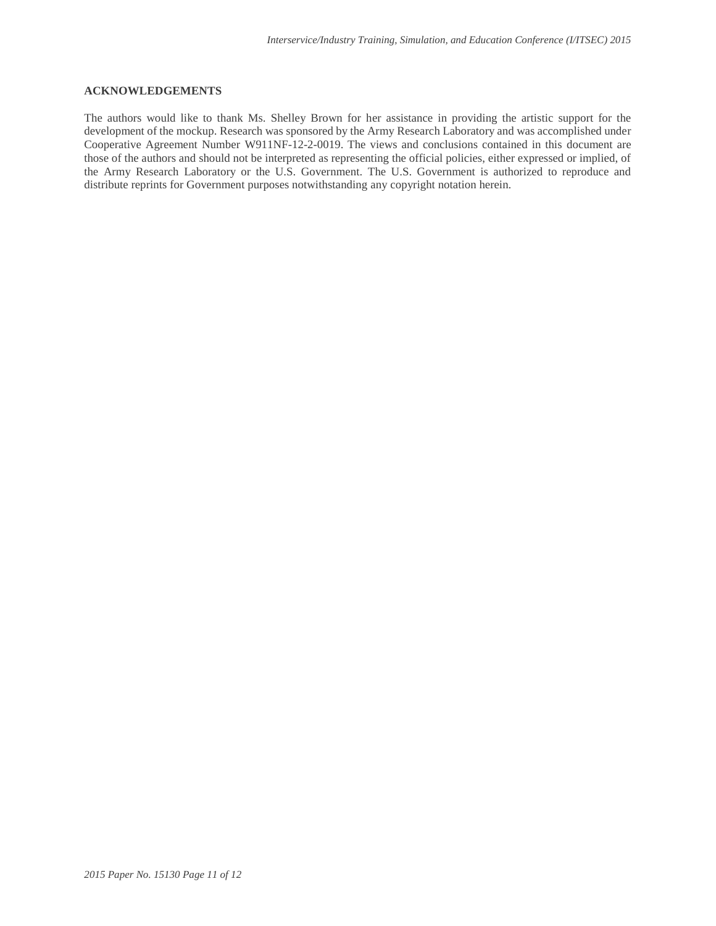## **ACKNOWLEDGEMENTS**

The authors would like to thank Ms. Shelley Brown for her assistance in providing the artistic support for the development of the mockup. Research was sponsored by the Army Research Laboratory and was accomplished under Cooperative Agreement Number W911NF-12-2-0019. The views and conclusions contained in this document are those of the authors and should not be interpreted as representing the official policies, either expressed or implied, of the Army Research Laboratory or the U.S. Government. The U.S. Government is authorized to reproduce and distribute reprints for Government purposes notwithstanding any copyright notation herein.